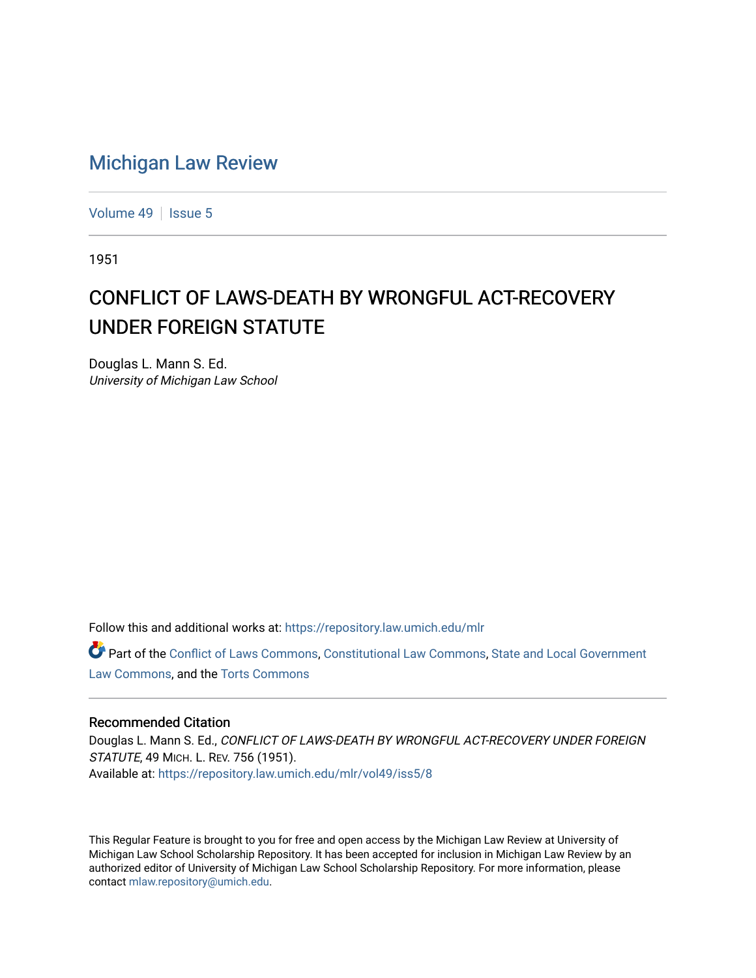## [Michigan Law Review](https://repository.law.umich.edu/mlr)

[Volume 49](https://repository.law.umich.edu/mlr/vol49) | [Issue 5](https://repository.law.umich.edu/mlr/vol49/iss5)

1951

## CONFLICT OF LAWS-DEATH BY WRONGFUL ACT-RECOVERY UNDER FOREIGN STATUTE

Douglas L. Mann S. Ed. University of Michigan Law School

Follow this and additional works at: [https://repository.law.umich.edu/mlr](https://repository.law.umich.edu/mlr?utm_source=repository.law.umich.edu%2Fmlr%2Fvol49%2Fiss5%2F8&utm_medium=PDF&utm_campaign=PDFCoverPages) 

Part of the [Conflict of Laws Commons,](http://network.bepress.com/hgg/discipline/588?utm_source=repository.law.umich.edu%2Fmlr%2Fvol49%2Fiss5%2F8&utm_medium=PDF&utm_campaign=PDFCoverPages) [Constitutional Law Commons,](http://network.bepress.com/hgg/discipline/589?utm_source=repository.law.umich.edu%2Fmlr%2Fvol49%2Fiss5%2F8&utm_medium=PDF&utm_campaign=PDFCoverPages) [State and Local Government](http://network.bepress.com/hgg/discipline/879?utm_source=repository.law.umich.edu%2Fmlr%2Fvol49%2Fiss5%2F8&utm_medium=PDF&utm_campaign=PDFCoverPages)  [Law Commons,](http://network.bepress.com/hgg/discipline/879?utm_source=repository.law.umich.edu%2Fmlr%2Fvol49%2Fiss5%2F8&utm_medium=PDF&utm_campaign=PDFCoverPages) and the [Torts Commons](http://network.bepress.com/hgg/discipline/913?utm_source=repository.law.umich.edu%2Fmlr%2Fvol49%2Fiss5%2F8&utm_medium=PDF&utm_campaign=PDFCoverPages) 

## Recommended Citation

Douglas L. Mann S. Ed., CONFLICT OF LAWS-DEATH BY WRONGFUL ACT-RECOVERY UNDER FOREIGN STATUTE, 49 MICH. L. REV. 756 (1951). Available at: [https://repository.law.umich.edu/mlr/vol49/iss5/8](https://repository.law.umich.edu/mlr/vol49/iss5/8?utm_source=repository.law.umich.edu%2Fmlr%2Fvol49%2Fiss5%2F8&utm_medium=PDF&utm_campaign=PDFCoverPages)

This Regular Feature is brought to you for free and open access by the Michigan Law Review at University of Michigan Law School Scholarship Repository. It has been accepted for inclusion in Michigan Law Review by an authorized editor of University of Michigan Law School Scholarship Repository. For more information, please contact [mlaw.repository@umich.edu](mailto:mlaw.repository@umich.edu).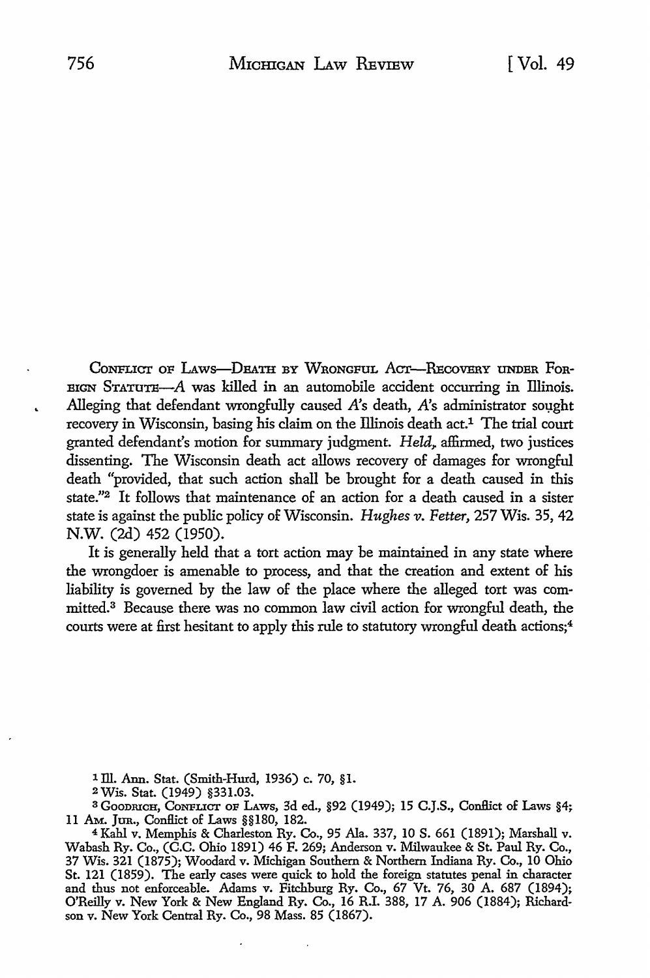CONFLICT OF LAWS-DEATH BY WRONGFUL ACT-RECOVERY UNDER FOR- $B$ EIGN STATUTE- $A$  was killed in an automobile accident occurring in Illinois. Alleging that defendant wrongfully caused A's death, A's administrator sought recovery in Wisconsin, basing his claim on the Illinois death act.<sup>1</sup> The trial court granted defendant's motion for summary judgment. *Held*, affirmed, two justices dissenting. The Wisconsin death act allows recovery of damages for wrongful death "provided, that such action shall be brought for a death caused in this state."2 It follows that maintenance of an action for a death caused in a sister state is against the public policy of Wisconsin. *Hughes v. Fetter,* 257 Wis. 35, 42 N.W. (2d) 452 (1950).

It is generally held that a tort action may be maintained in any state where the wrongdoer is amenable to process, and that the creation and extent of his liability is governed by the law of the place where the alleged tort was committed. 3 Because there was no common law civil action for wrongful death, the courts were at first hesitant to apply this rule to statutory wrongful death actions;<sup>4</sup>

<sup>1</sup>ill. Ann. Stat. (Smith-Hurd, 1936) c. 70, §1.

<sup>2</sup>Wis. Stat. (1949) §331.03.

<sup>3</sup> GOODRICH, CONFLICT OF LAWS, 3d ed., §92 (1949); 15 C.J.S., Conflict of Laws §4; 11 AM. Jtm., ConJlict of Laws §§180, 182.

<sup>4</sup>Kahl v. Memphis & Charleston Ry. Co., 95 Ala. 337, 10 S. 661 (1891); Marshall v. Wabash Ry. Co., (C.C. Ohio 1891) 46 F. 269; Anderson v. Milwaukee & St. Paul Ry. Co., 37 Wis. 321 (1875); Woodard v. Michigan Southern & Northern Indiana Ry. Co., 10 Ohio St. 121 (1859). The early cases were quick to hold the foreign statutes penal in character and thus not enforceable. Adams v. Fitchburg Ry. Co., 67 Vt. 76, 30 A. 687 (1894); O'Reilly v. New York & New England Ry. Co., 16 R.I. 388, 17 A. 906 (1884); Richardson v. New York Central Ry. Co., 98 Mass. 85 (1867).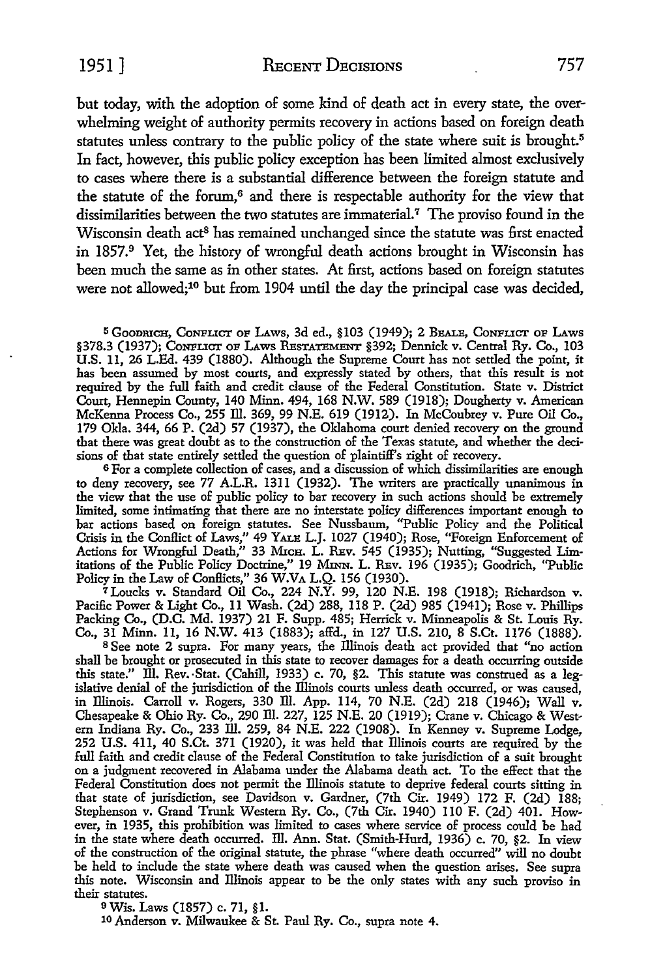1951 ] RECENT DECISIONS 757

but today, with the adoption of some kind of death act in every state, the overwhelming weight of authority permits recovery in actions based on foreign death statutes unless contrary to the public policy of the state where suit is brought.<sup>5</sup> In fact, however, this public policy exception has been limited almost exclusively to cases where there is a substantial difference between the foreign statute and the statute of the forum,<sup>6</sup> and there is respectable authority for the view that dissimilarities between the two statutes are immaterial. 7 The proviso found in the Wisconsin death act<sup>8</sup> has remained unchanged since the statute was first enacted in 1857.9 Yet, the history of wrongful death actions brought in Wisconsin has been much the same as in other states. At first, actions based on foreign statutes were not allowed;<sup>10</sup> but from 1904 until the day the principal case was decided,

5 GooDRICH, CoNFLICT OF LAws, 3d ed., §103 (1949); 2 BEALE, CoNFLICT OF LAws §378.3 (1937); CoNFLICT OF LAws RESTATEMENT §392; Dennick v. Central Ry. Co., 103 U.S. 11, 26 L.Ed. 439 (1880). Although the Supreme Court has not settled the point, it has been assumed by most courts, and expressly stated by others, that this result is not required by the full faith and credit clause of the Federal Constitution. State v. District Court, Hennepin County, 140 Minn. 494, 168 N.W. 589 (1918); Dougherty v. American McKenna Process Co., 255 ill. 369, 99 N.E. 619 (1912). In McCoubrey v. Pure Oil Co., 179 Okla. 344, 66 P. (2d) 57 (1937), the Oklahoma court denied recovery on the ground that there was great doubt as to the construction of the Texas statute, and whether the decisions of that state entirely settled the question of plaintiff's right of recovery.

<sup>6</sup>For a complete collection of cases, and a discussion of which dissimilarities are enough to deny recovery, see 77 A.L.R. 1311 (1932). The writers are practically unanimous in the view that the use of public policy to bar recovery in such actions should be extremely limited, some intimating that there are no interstate policy differences important enough to bar actions based on foreign statutes. See Nussbaum, "Public Policy and the Political Crisis in the Conflict of Laws," 49 YALE L.J. 1027 (1940); Rose, "Foreign Enforcement of Actions for Wrongful Death," 33 Mrcn. L. REv. 545 (1935); Nutting, "Suggested Limitations of the Public Policy Doctrine," 19 MINN. L. REv. 196 (1935); Goodrich, "Public Policy in the Law of Conflicts," 36 W.VA L.Q. 156 (1930).

7 Loucks v. Standard Oil Co., 224 N.Y. 99, 120 N.E. 198 (1918); Richardson v. Pacific Power & Light Co., 11 Wash. (2d) 288, 118 P. (2d) 985 (1941); Rose v. Phillips Packing Co., (D.C. Md. 1937) 21 F. Supp. 485; Herrick v. Minneapolis & St. Louis Ry. Co., 31 Minn. 11, 16 N.W. 413 (1883); affd., in 127 U.S. 210, 8 S.Ct. 1176 (1888).

s See note 2 supra. For many years, the lliinois death act provided that "no action shall be brought or prosecuted in this state to recover damages for a death occurring outside this state." Ill. Rev. Stat. (Cahill, 1933) c. 70, §2. This statute was construed as a legislative denial of the jurisdiction of the Illinois courts unless death occurred, or was caused, in lliinois. Carroll v. Rogers, 330 ill. App. 114, 70 N.E. (2d) 218 (1946); Wall v. Chesapeake & Ohio Ry. Co., 290 ill. 227, 125 N.E. 20 (1919); Crane v. Chicago & Western Indiana Ry. Co., 233 ill. 259, 84 N.E. 222 (1908). In Kenney v. Supreme Lodge, 252 U.S. 411, 40 S.Ct. 371 (1920), it was held that lliinois courts are required by the full faith and credit clause of the Federal Constitution to take jurisdiction of a suit brought on a judgment recovered in Alabama under the Alabama death act. To the effect that the Federal Constitution does not permit the Illinois statute to deprive federal courts sitting in that state of jurisdiction, see Davidson v. Gardner, (7th Cir. 1949) 172 F. (2d) 188; Stephenson v. Grand Trunk Western Ry. Co., (7th Cir. 1940) 110 F. (2d) 401. However, in 1935, this prohibition was limited to cases where service of process could be had in the state where death occurred. ill. Ann. Stat. (Smith-Hurd, 1936) c. 70, §2. In view of the construction of the original statute, the phrase "where death occurred" will no doubt be held to include the state where death was caused when the question arises. See supra this note. Wisconsin and lliinois appear to be the only states with any such proviso in their statutes.

<sup>9</sup>Wis. Laws (1857) c. 71, §1.

10 Anderson v. Milwaukee & St. Paul Ry. Co., supra note 4.